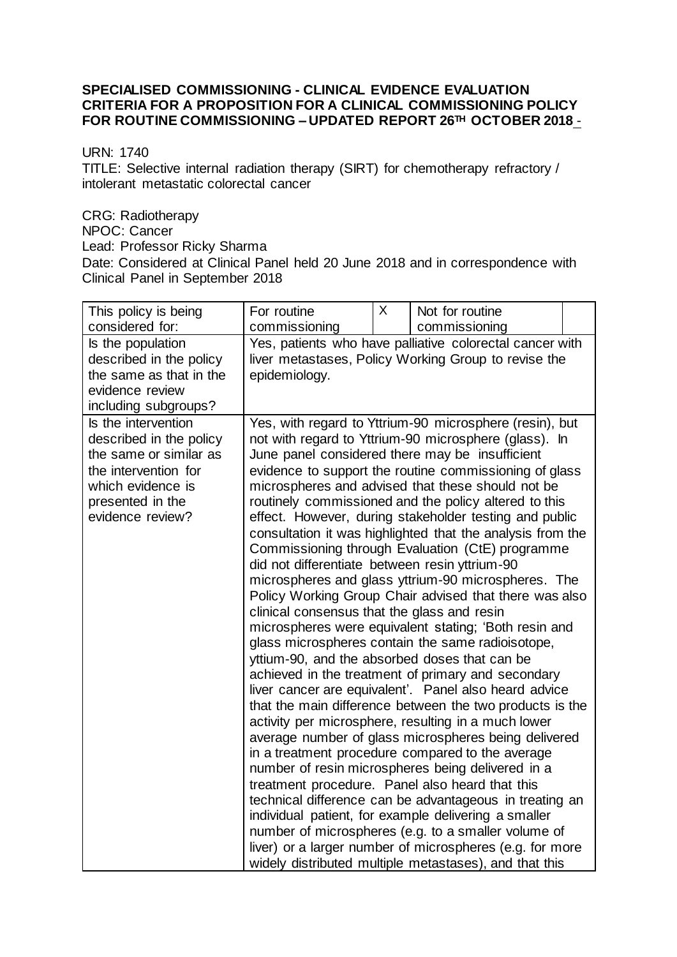## **SPECIALISED COMMISSIONING - CLINICAL EVIDENCE EVALUATION CRITERIA FOR A PROPOSITION FOR A CLINICAL COMMISSIONING POLICY FOR ROUTINE COMMISSIONING – UPDATED REPORT 26TH OCTOBER 2018** -

URN: 1740

TITLE: Selective internal radiation therapy (SIRT) for chemotherapy refractory / intolerant metastatic colorectal cancer

CRG: Radiotherapy NPOC: Cancer Lead: Professor Ricky Sharma Date: Considered at Clinical Panel held 20 June 2018 and in correspondence with Clinical Panel in September 2018

| This policy is being                                                                                                                                          | For routine                                                                                                                                                                                                                                                                                                                                                                                                                                                                                                                                                                                                                                                                                                                                                                                                                                                                                                                                                                                                                                                                                                                                                                                                                                                                                                                                                                                                                                                                                                                                                                                          | X | Not for routine |  |  |
|---------------------------------------------------------------------------------------------------------------------------------------------------------------|------------------------------------------------------------------------------------------------------------------------------------------------------------------------------------------------------------------------------------------------------------------------------------------------------------------------------------------------------------------------------------------------------------------------------------------------------------------------------------------------------------------------------------------------------------------------------------------------------------------------------------------------------------------------------------------------------------------------------------------------------------------------------------------------------------------------------------------------------------------------------------------------------------------------------------------------------------------------------------------------------------------------------------------------------------------------------------------------------------------------------------------------------------------------------------------------------------------------------------------------------------------------------------------------------------------------------------------------------------------------------------------------------------------------------------------------------------------------------------------------------------------------------------------------------------------------------------------------------|---|-----------------|--|--|
| considered for:                                                                                                                                               | commissioning                                                                                                                                                                                                                                                                                                                                                                                                                                                                                                                                                                                                                                                                                                                                                                                                                                                                                                                                                                                                                                                                                                                                                                                                                                                                                                                                                                                                                                                                                                                                                                                        |   | commissioning   |  |  |
| Is the population<br>described in the policy<br>the same as that in the<br>evidence review<br>including subgroups?                                            | Yes, patients who have palliative colorectal cancer with<br>liver metastases, Policy Working Group to revise the<br>epidemiology.                                                                                                                                                                                                                                                                                                                                                                                                                                                                                                                                                                                                                                                                                                                                                                                                                                                                                                                                                                                                                                                                                                                                                                                                                                                                                                                                                                                                                                                                    |   |                 |  |  |
| Is the intervention<br>described in the policy<br>the same or similar as<br>the intervention for<br>which evidence is<br>presented in the<br>evidence review? | Yes, with regard to Yttrium-90 microsphere (resin), but<br>not with regard to Yttrium-90 microsphere (glass). In<br>June panel considered there may be insufficient<br>evidence to support the routine commissioning of glass<br>microspheres and advised that these should not be<br>routinely commissioned and the policy altered to this<br>effect. However, during stakeholder testing and public<br>consultation it was highlighted that the analysis from the<br>Commissioning through Evaluation (CtE) programme<br>did not differentiate between resin yttrium-90<br>microspheres and glass yttrium-90 microspheres. The<br>Policy Working Group Chair advised that there was also<br>clinical consensus that the glass and resin<br>microspheres were equivalent stating; 'Both resin and<br>glass microspheres contain the same radioisotope,<br>yttium-90, and the absorbed doses that can be<br>achieved in the treatment of primary and secondary<br>liver cancer are equivalent'. Panel also heard advice<br>that the main difference between the two products is the<br>activity per microsphere, resulting in a much lower<br>average number of glass microspheres being delivered<br>in a treatment procedure compared to the average<br>number of resin microspheres being delivered in a<br>treatment procedure. Panel also heard that this<br>technical difference can be advantageous in treating an<br>individual patient, for example delivering a smaller<br>number of microspheres (e.g. to a smaller volume of<br>liver) or a larger number of microspheres (e.g. for more |   |                 |  |  |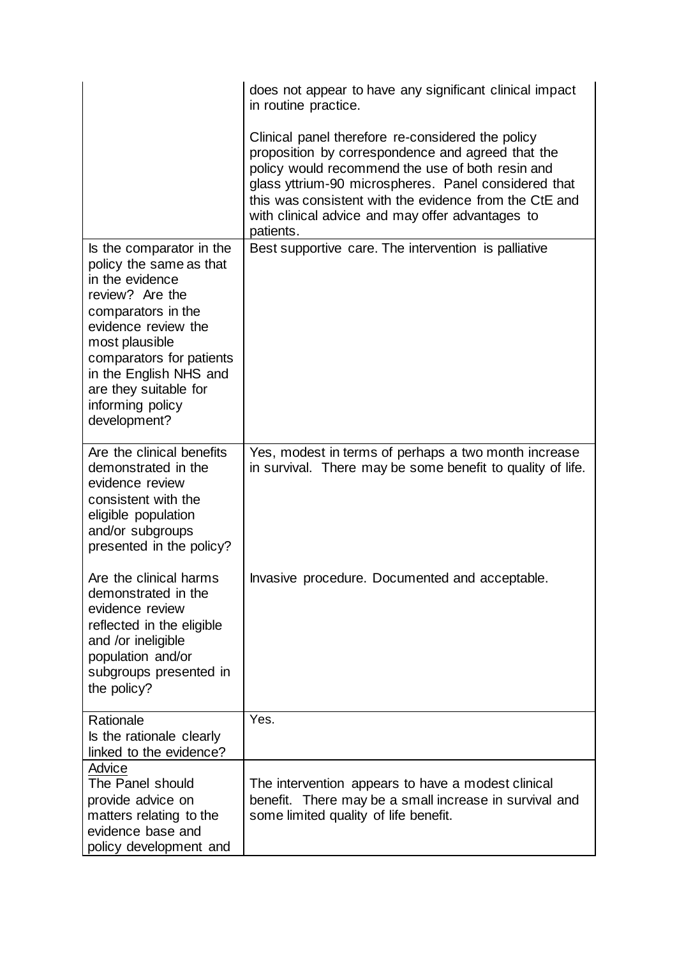|                                                                                                                                                                                                                                                                             | does not appear to have any significant clinical impact<br>in routine practice.                                                                                                                                                                                                                                                               |  |  |  |  |
|-----------------------------------------------------------------------------------------------------------------------------------------------------------------------------------------------------------------------------------------------------------------------------|-----------------------------------------------------------------------------------------------------------------------------------------------------------------------------------------------------------------------------------------------------------------------------------------------------------------------------------------------|--|--|--|--|
|                                                                                                                                                                                                                                                                             | Clinical panel therefore re-considered the policy<br>proposition by correspondence and agreed that the<br>policy would recommend the use of both resin and<br>glass yttrium-90 microspheres. Panel considered that<br>this was consistent with the evidence from the CtE and<br>with clinical advice and may offer advantages to<br>patients. |  |  |  |  |
| Is the comparator in the<br>policy the same as that<br>in the evidence<br>review? Are the<br>comparators in the<br>evidence review the<br>most plausible<br>comparators for patients<br>in the English NHS and<br>are they suitable for<br>informing policy<br>development? | Best supportive care. The intervention is palliative                                                                                                                                                                                                                                                                                          |  |  |  |  |
| Are the clinical benefits<br>demonstrated in the<br>evidence review<br>consistent with the<br>eligible population<br>and/or subgroups<br>presented in the policy?                                                                                                           | Yes, modest in terms of perhaps a two month increase<br>in survival. There may be some benefit to quality of life.                                                                                                                                                                                                                            |  |  |  |  |
| Are the clinical harms<br>demonstrated in the<br>evidence review<br>reflected in the eligible<br>and /or ineligible<br>population and/or<br>subgroups presented in<br>the policy?                                                                                           | Invasive procedure. Documented and acceptable.                                                                                                                                                                                                                                                                                                |  |  |  |  |
| Rationale<br>Is the rationale clearly<br>linked to the evidence?                                                                                                                                                                                                            | Yes.                                                                                                                                                                                                                                                                                                                                          |  |  |  |  |
| Advice<br>The Panel should<br>provide advice on<br>matters relating to the<br>evidence base and<br>policy development and                                                                                                                                                   | The intervention appears to have a modest clinical<br>benefit. There may be a small increase in survival and<br>some limited quality of life benefit.                                                                                                                                                                                         |  |  |  |  |